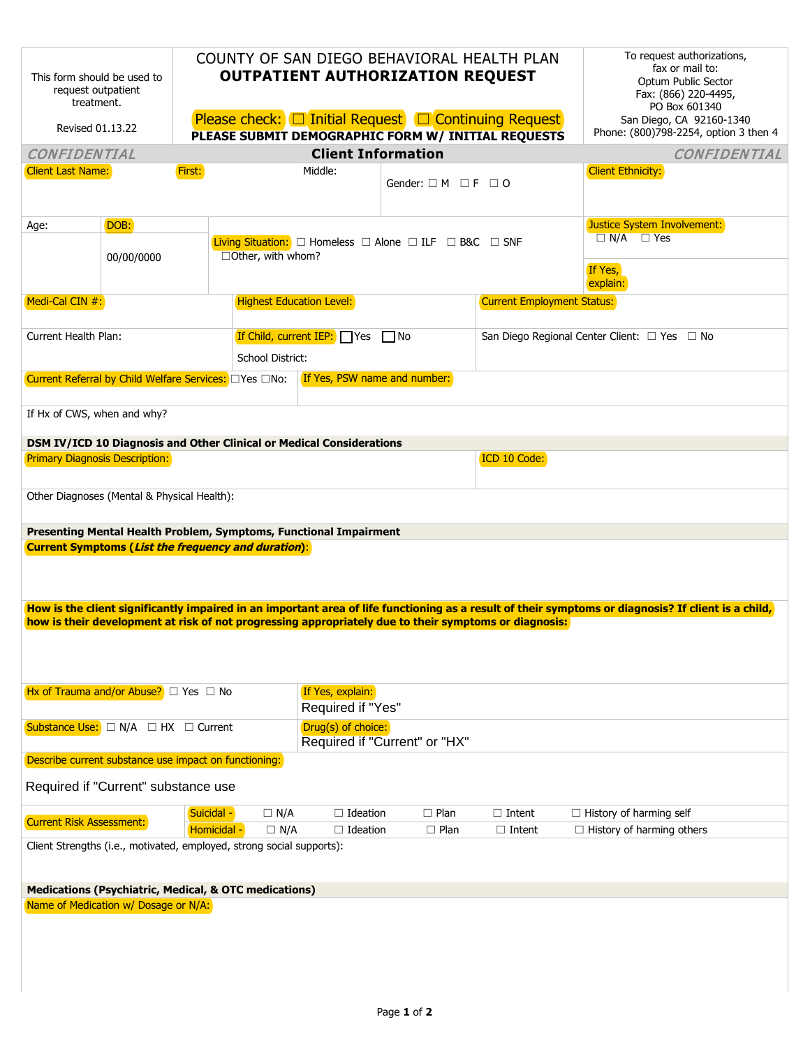| This form should be used to<br>request outpatient<br>treatment.<br>Revised 01.13.22                                                                                                                                                                                                                                                                                                      |            |             | COUNTY OF SAN DIEGO BEHAVIORAL HEALTH PLAN<br><b>OUTPATIENT AUTHORIZATION REQUEST</b><br>Please check: <del>□</del> Initial Request □ Continuing Request<br>PLEASE SUBMIT DEMOGRAPHIC FORM W/ INITIAL REQUESTS |                                       | To request authorizations,<br>fax or mail to:<br>Optum Public Sector<br>Fax: (866) 220-4495,<br>PO Box 601340<br>San Diego, CA 92160-1340<br>Phone: (800)798-2254, option 3 then 4 |                                              |                                  |  |  |  |  |
|------------------------------------------------------------------------------------------------------------------------------------------------------------------------------------------------------------------------------------------------------------------------------------------------------------------------------------------------------------------------------------------|------------|-------------|----------------------------------------------------------------------------------------------------------------------------------------------------------------------------------------------------------------|---------------------------------------|------------------------------------------------------------------------------------------------------------------------------------------------------------------------------------|----------------------------------------------|----------------------------------|--|--|--|--|
| <b>CONFIDENTIAL</b>                                                                                                                                                                                                                                                                                                                                                                      |            |             |                                                                                                                                                                                                                |                                       | <b>Client Information</b>                                                                                                                                                          |                                              | <b>CONFIDENTIAL</b>              |  |  |  |  |
| <b>Client Last Name:</b>                                                                                                                                                                                                                                                                                                                                                                 |            | First:      |                                                                                                                                                                                                                | Middle:                               | Gender: $\Box$ M $\Box$ F $\Box$ O                                                                                                                                                 |                                              | <b>Client Ethnicity:</b>         |  |  |  |  |
| Age:                                                                                                                                                                                                                                                                                                                                                                                     | DOB:       |             |                                                                                                                                                                                                                |                                       |                                                                                                                                                                                    |                                              | Justice System Involvement:      |  |  |  |  |
|                                                                                                                                                                                                                                                                                                                                                                                          | 00/00/0000 |             | $\Box$ Other, with whom?                                                                                                                                                                                       |                                       | <b>Living Situation:</b> $\Box$ Homeless $\Box$ Alone $\Box$ ILF $\Box$ B&C $\Box$ SNF                                                                                             |                                              | $\Box$ N/A $\Box$ Yes<br>If Yes, |  |  |  |  |
|                                                                                                                                                                                                                                                                                                                                                                                          |            |             |                                                                                                                                                                                                                |                                       |                                                                                                                                                                                    |                                              | explain:                         |  |  |  |  |
| Medi-Cal CIN #:                                                                                                                                                                                                                                                                                                                                                                          |            |             |                                                                                                                                                                                                                | <b>Highest Education Level:</b>       |                                                                                                                                                                                    | <b>Current Employment Status:</b>            |                                  |  |  |  |  |
| Current Health Plan:                                                                                                                                                                                                                                                                                                                                                                     |            |             |                                                                                                                                                                                                                | If Child, current IEP: □Yes □ No      |                                                                                                                                                                                    | San Diego Regional Center Client: □ Yes □ No |                                  |  |  |  |  |
| School District:                                                                                                                                                                                                                                                                                                                                                                         |            |             |                                                                                                                                                                                                                |                                       |                                                                                                                                                                                    |                                              |                                  |  |  |  |  |
| Current Referral by Child Welfare Services: OYes ONo:                                                                                                                                                                                                                                                                                                                                    |            |             |                                                                                                                                                                                                                |                                       | <b>If Yes, PSW name and number:</b>                                                                                                                                                |                                              |                                  |  |  |  |  |
| If Hx of CWS, when and why?                                                                                                                                                                                                                                                                                                                                                              |            |             |                                                                                                                                                                                                                |                                       |                                                                                                                                                                                    |                                              |                                  |  |  |  |  |
|                                                                                                                                                                                                                                                                                                                                                                                          |            |             |                                                                                                                                                                                                                |                                       |                                                                                                                                                                                    |                                              |                                  |  |  |  |  |
| DSM IV/ICD 10 Diagnosis and Other Clinical or Medical Considerations<br>Primary Diagnosis Description:                                                                                                                                                                                                                                                                                   |            |             |                                                                                                                                                                                                                | ICD 10 Code:                          |                                                                                                                                                                                    |                                              |                                  |  |  |  |  |
| Other Diagnoses (Mental & Physical Health):                                                                                                                                                                                                                                                                                                                                              |            |             |                                                                                                                                                                                                                |                                       |                                                                                                                                                                                    |                                              |                                  |  |  |  |  |
| Presenting Mental Health Problem, Symptoms, Functional Impairment<br>Current Symptoms (List the frequency and duration):<br>How is the client significantly impaired in an important area of life functioning as a result of their symptoms or diagnosis? If client is a child,<br>how is their development at risk of not progressing appropriately due to their symptoms or diagnosis: |            |             |                                                                                                                                                                                                                |                                       |                                                                                                                                                                                    |                                              |                                  |  |  |  |  |
| Hx of Trauma and/or Abuse? $\Box$ Yes $\Box$ No                                                                                                                                                                                                                                                                                                                                          |            |             |                                                                                                                                                                                                                | If Yes, explain:<br>Required if "Yes" |                                                                                                                                                                                    |                                              |                                  |  |  |  |  |
| Substance Use: $\Box N/A \Box HX \Box$ Current                                                                                                                                                                                                                                                                                                                                           |            |             | Drug(s) of choice:<br>Required if "Current" or "HX"                                                                                                                                                            |                                       |                                                                                                                                                                                    |                                              |                                  |  |  |  |  |
| Describe current substance use impact on functioning:                                                                                                                                                                                                                                                                                                                                    |            |             |                                                                                                                                                                                                                |                                       |                                                                                                                                                                                    |                                              |                                  |  |  |  |  |
| Required if "Current" substance use                                                                                                                                                                                                                                                                                                                                                      |            |             |                                                                                                                                                                                                                |                                       |                                                                                                                                                                                    |                                              |                                  |  |  |  |  |
|                                                                                                                                                                                                                                                                                                                                                                                          |            | Suicidal -  | $\Box N/A$                                                                                                                                                                                                     | $\Box$ Ideation                       | $\Box$ Plan                                                                                                                                                                        | $\Box$ Intent                                | $\Box$ History of harming self   |  |  |  |  |
| Current Risk Assessment:                                                                                                                                                                                                                                                                                                                                                                 |            | Homicidal - | $\Box$ N/A                                                                                                                                                                                                     | $\Box$ Ideation                       | $\Box$ Plan                                                                                                                                                                        | $\Box$ Intent                                | $\Box$ History of harming others |  |  |  |  |
| Client Strengths (i.e., motivated, employed, strong social supports):                                                                                                                                                                                                                                                                                                                    |            |             |                                                                                                                                                                                                                |                                       |                                                                                                                                                                                    |                                              |                                  |  |  |  |  |
| <b>Medications (Psychiatric, Medical, &amp; OTC medications)</b>                                                                                                                                                                                                                                                                                                                         |            |             |                                                                                                                                                                                                                |                                       |                                                                                                                                                                                    |                                              |                                  |  |  |  |  |
| Name of Medication w/ Dosage or N/A:                                                                                                                                                                                                                                                                                                                                                     |            |             |                                                                                                                                                                                                                |                                       |                                                                                                                                                                                    |                                              |                                  |  |  |  |  |